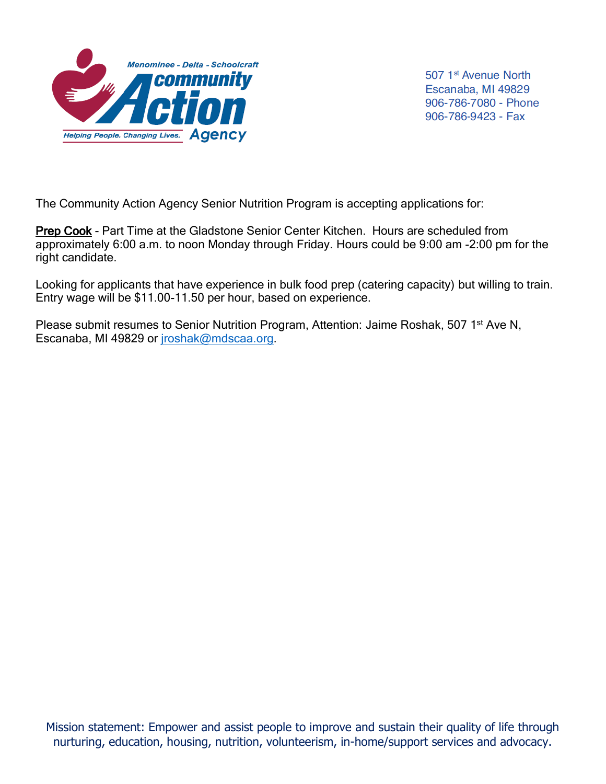

507 1<sup>st</sup> Avenue North Escanaba, MI 49829 906-786-7080 - Phone 906-786-9423 - Fax

The Community Action Agency Senior Nutrition Program is accepting applications for:

Prep Cook - Part Time at the Gladstone Senior Center Kitchen. Hours are scheduled from approximately 6:00 a.m. to noon Monday through Friday. Hours could be 9:00 am -2:00 pm for the right candidate.

Looking for applicants that have experience in bulk food prep (catering capacity) but willing to train. Entry wage will be \$11.00-11.50 per hour, based on experience.

Please submit resumes to Senior Nutrition Program, Attention: Jaime Roshak, 507 1<sup>st</sup> Ave N, Escanaba, MI 49829 or [jroshak@mdscaa.org.](mailto:jroshak@mdscaa.org)

Mission statement: Empower and assist people to improve and sustain their quality of life through nurturing, education, housing, nutrition, volunteerism, in-home/support services and advocacy.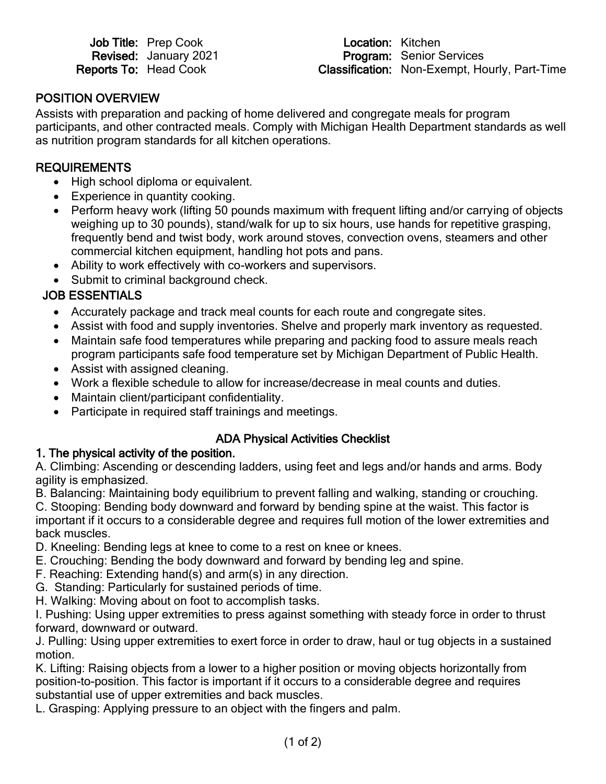|                              | <b>Job Title: Prep Cook</b>  |
|------------------------------|------------------------------|
|                              | <b>Revised: January 2021</b> |
| <b>Reports To: Head Cook</b> |                              |

Location: Kitchen Program: Senior Services Classification: Non-Exempt, Hourly, Part-Time

## POSITION OVERVIEW

Assists with preparation and packing of home delivered and congregate meals for program participants, and other contracted meals. Comply with Michigan Health Department standards as well as nutrition program standards for all kitchen operations.

#### **REQUIREMENTS**

- High school diploma or equivalent.
- Experience in quantity cooking.
- Perform heavy work (lifting 50 pounds maximum with frequent lifting and/or carrying of objects weighing up to 30 pounds), stand/walk for up to six hours, use hands for repetitive grasping, frequently bend and twist body, work around stoves, convection ovens, steamers and other commercial kitchen equipment, handling hot pots and pans.
- Ability to work effectively with co-workers and supervisors.
- Submit to criminal background check.

# JOB ESSENTIALS

- Accurately package and track meal counts for each route and congregate sites.
- Assist with food and supply inventories. Shelve and properly mark inventory as requested.
- Maintain safe food temperatures while preparing and packing food to assure meals reach program participants safe food temperature set by Michigan Department of Public Health.
- Assist with assigned cleaning.
- Work a flexible schedule to allow for increase/decrease in meal counts and duties.
- Maintain client/participant confidentiality.
- Participate in required staff trainings and meetings.

#### ADA Physical Activities Checklist

#### 1. The physical activity of the position.

A. Climbing: Ascending or descending ladders, using feet and legs and/or hands and arms. Body agility is emphasized.

B. Balancing: Maintaining body equilibrium to prevent falling and walking, standing or crouching. C. Stooping: Bending body downward and forward by bending spine at the waist. This factor is important if it occurs to a considerable degree and requires full motion of the lower extremities and back muscles.

- D. Kneeling: Bending legs at knee to come to a rest on knee or knees.
- E. Crouching: Bending the body downward and forward by bending leg and spine.
- F. Reaching: Extending hand(s) and arm(s) in any direction.
- G. Standing: Particularly for sustained periods of time.
- H. Walking: Moving about on foot to accomplish tasks.

I. Pushing: Using upper extremities to press against something with steady force in order to thrust forward, downward or outward.

J. Pulling: Using upper extremities to exert force in order to draw, haul or tug objects in a sustained motion.

K. Lifting: Raising objects from a lower to a higher position or moving objects horizontally from position-to-position. This factor is important if it occurs to a considerable degree and requires substantial use of upper extremities and back muscles.

L. Grasping: Applying pressure to an object with the fingers and palm.